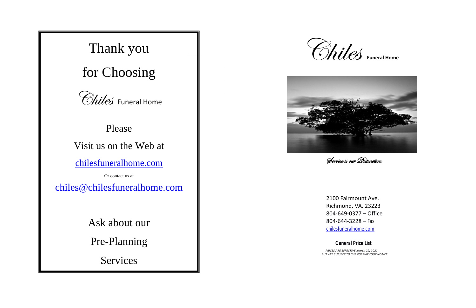# Thank you

for Choosing



## Please

## Visit us on the Web at

[chilesfuneralhome.com](http://www.chilesfuneralhome.com/)

Or contact us at

[chiles@chilesfuneralhome.com](mailto:chiles@chilesfuneralhome.com)

Ask about our

Pre-Planning

Services

2100 Fairmount Ave. Richmond, VA. 23223 804-649-0377 – Office 804-644-3228 – Fax [chilesfuneralhome.com](http://www.chilesfuneralhome.com/)

### **General Price List**





Service is our Distinction

 *PRICES ARE EFFECTIVE March 29, 2022 BUT ARE SUBJECT TO CHANGE WITHOUT NOTICE*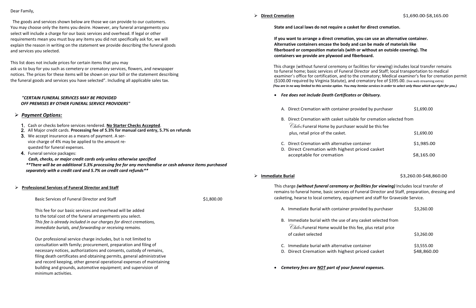Dear Family,

 The goods and services shown below are those we can provide to our customers. You may choose only the items you desire. However, any funeral arrangements you select will include a charge for our basic services and overhead. If legal or other requirements mean you must buy any items you did not specifically ask for, we will explain the reason in writing on the statement we provide describing the funeral goods and services you selected.

This list does not include prices for certain items that you may

ask us to buy for you such as cemetery or crematory services, flowers, and newspaper notices. The prices for these items will be shown on your bill or the statement describing the funeral goods and services you have selected". Including all applicable sales tax.

### *"CERTAIN FUNERAL SERVICES MAY BE PROVIDED OFF PREMISES BY OTHER FUNERAL SERVICE PROVIDERS"*

### ➢ *Payment Options:*

- 1. Cash or checks before services rendered. **No Starter Checks Accepted**.
- 2. All Major credit cards. **Processing fee of 5.3% for manual card entry, 5.7% on refunds**
- 3. We accept insurance as a means of payment. A service charge of 4% may be applied to the amount requested for funeral expenses.
- 4. Funeral service packages:

 *Cash, checks, or major credit cards only unless otherwise specified \*\*There will be an additional 5.3% processing fee for any merchandise or cash advance items purchased separately with a credit card and 5.7% on credit card refunds\*\**

### ➢ **Professional Services of Funeral Director and Staff**

Basic Services of Funeral Director and Staff  $\sim$  81,800.00

- *Fee does not include Death Certificates or Obituary.*
	- A. Direct Cremation with container
	- B. Direct Cremation with casket suit Chiles Funeral Home by purchas plus, retail price of the casket.
	- C. Direct Cremation with alternative
	- D. Direct Cremation with highes

This fee for our basic services and overhead will be added to the total cost of the funeral arrangements you select. *This fee is already included in our charges for direct cremations, immediate burials, and forwarding or receiving remains.*

Our professional service charge includes, but is not limited to consultation with family; procurement, preparation and filing of necessary notices, authorizations and consents, custody of remains, filing death certificates and obtaining permits, general administrative and record keeping, other general operational expenses of maintaining building and grounds, automotive equipment; and supervision of minimum activities.

- A. Immediate Burial with container
- B. Immediate burial with the use of Chiles Funeral Home would be the of casket selected
- $C.$  Immediate burial with alternative
- D. Direct Cremation with highest
- *Cemetery fees are NOT part of your funeral expenses.*

**State and Local laws do not require a casket for direct cremation.**

## **If you want to arrange a direct cremation, you can use an alternative container. fiberboard or composition materials (with or without an outside covering). The**

**Alternative containers encase the body and can be made of materials like containers we provide are plywood and fiberboard.**

 This charge (without funeral ceremony or facilities for viewing) includes local transfer remains to funeral home; basic services of Funeral Director and Staff; local transportation to medical examiner's office for certification, and to the crematory; Medical examiner's fee for cremation permit (\$100.00 required by Virginia Statute), and crematory fee of \$395.00. (live web streaming extra)  *(You are in no way limited to this service option. You may itemize services in order to select only those which are right for you.)*

| Direct Cremation with container provided by purchaser                                                                          | \$1,690.00 |
|--------------------------------------------------------------------------------------------------------------------------------|------------|
| Direct Cremation with casket suitable for cremation selected from<br><i>Chiles</i> Funeral Home by purchaser would be this fee |            |
| plus, retail price of the casket.                                                                                              | \$1,690.00 |
| Direct Cremation with alternative container<br>Direct Cremation with highest priced casket                                     | \$1,985.00 |
| acceptable for cremation                                                                                                       | \$8,165.00 |

➢ **Immediate Burial** \$3,260.00-\$48,860.00

| provided by purchaser                                  | \$3,260.00                |
|--------------------------------------------------------|---------------------------|
| any casket selected from<br>his fee, plus retail price |                           |
|                                                        | \$3,260.00                |
| e container<br>st priced casket                        | \$3,555.00<br>\$48,860.00 |
|                                                        |                           |

This charge *(without funeral ceremony or facilities for viewing)* Includes local transfer of remains to funeral home, basic services of Funeral Director and Staff, preparation, dressing and casketing, hearse to local cemetery, equipment and staff for Graveside Service.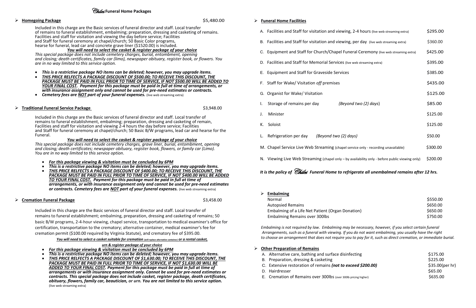### Chiles **Funeral Home Packages**

*This special package does not include cemetery charges, grave liner, burial, entombment, opening and closing; death certificates; newspaper obituary, register book, flowers, or family car (Limo). You are in no way limited to this service option*.

- *For this package viewing & visitation must be concluded by 6PM*
- *This is a restrictive package NO items can be deleted; however, you may upgrade items.*
- *THIS PRICE RELFECTS A PACKAGE DISCOUNT OF \$400.00; TO RECEIVE THIS DISCOUNT, THE*  PACKAGE MUST BE PAID IN FULL PRIOR TO TIME OF SERVICE, IF NOT \$400.00 WILL BE ADDED *TO YOUR FINAL COST. Payment for this package must be paid in full at time of arrangements, or with insurance assignment only and cannot be used for pre-need estimates or contracts. Cemetery fees are NOT part of your funeral expenses.* (live web streaming extra)

| <b>Homegoing Package</b>                                                                                                                                                                                                                                                              | \$5,480.00                          | <b>Funeral Home Facilities</b>                      |
|---------------------------------------------------------------------------------------------------------------------------------------------------------------------------------------------------------------------------------------------------------------------------------------|-------------------------------------|-----------------------------------------------------|
| Included in this charge are the Basic services of funeral director and staff. Local transfer<br>of remains to funeral establishment, embalming; preparation, dressing and casketing of remains.<br>Facilities and staff for visitation and viewing the day before service; Facilities |                                     | A. Facilities and Staff for visitation and viewing  |
| and Staff for funeral ceremony at chapel/church; 50 Basic Color programs,<br>hearse for funeral, lead car and concrete grave liner (\$1520.00) is included.                                                                                                                           |                                     | B. Facilities and Staff for visitation and viewing  |
| You will need to select the casket & register package of your choice<br>This special package does not include cemetery charges, burial, entombment, opening<br>and closing; death certificates, family car (limo), newspaper obituary, register book, or flowers. You                 |                                     | C. Equipment and Staff for Church/Chapel Fun        |
| are in no way limited to this service option.                                                                                                                                                                                                                                         |                                     | D. Facilities and Staff for Memorial Services (live |
| This is a restrictive package NO items can be deleted; however, you may upgrade items.<br>THIS PRICE RELFECTS A PACKAGE DISCOUNT OF \$500.00; TO RECEIVE THIS DISCOUNT, THE                                                                                                           |                                     | E. Equipment and Staff for Graveside Services       |
| PACKAGE MUST BE PAID IN FULL PRIOR TO TIME OF SERVICE, IF NOT \$500.00 WILL BE ADDED TO<br>YOUR FINAL COST.  Payment for this package must be paid in full at time of arrangements, or<br>with insurance assignment only and cannot be used for pre-need estimates or contracts.      |                                     | F. Staff for Wake/ Visitation off premises          |
| <b>Cemetery fees are NOT part of your funeral expenses.</b> (live web streaming extra)                                                                                                                                                                                                | Organist for Wake/ Visitation<br>G. |                                                     |
| $\triangleright$ Traditional Funeral Service Package                                                                                                                                                                                                                                  | \$3,948.00                          | Storage of remains per day<br>(Beyor                |
| Included in this charge are the Basic services of funeral director and staff. Local transfer of<br>remains to funeral establishment, embalming; preparation, dressing and casketing of remain,                                                                                        |                                     | Minister                                            |
| Facilities and staff for visitation and viewing 2-4 hours the day before service; Facilities<br>and Staff for funeral ceremony at chapel/church; 50 Basic B/W programs, lead car and hearse for the                                                                                   |                                     | К.<br>Soloist                                       |
| Funeral.<br>You will need to select the casket & register package of your choice                                                                                                                                                                                                      |                                     | Refrigeration per day<br>(Beyond two (2) do         |

### ➢ **Cremation Funeral Package** \$3,458.00

Included in this charge are the Basic services of funeral director and staff. Local transfer of remains to funeral establishment; embalming, preparation, dressing and casketing of remains; 50 basic B/W programs, 2-4-hour viewing, chapel service, transportation to medical examiner's office for certification, transportation to the crematory; alternative container, medical examiner's fee for cremation permit (\$100.00 required by Virginia Statute), and crematory fee of \$395.00.

*You will need to select a casket suitable for cremation (will replace alternative container) or a rental casket,* 

*urn & register package of your choice*

- *For this package viewing & visitation must be concluded by 6PM*
- *This is a restrictive package NO items can be deleted; however, you may upgrade items.*
- *THIS PRICE RELFECTS A PACKAGE DISCOUNT OF \$1,630.00; TO RECEIVE THIS DISCOUNT, THE PACKAGE MUST BE PAID IN FULL PRIOR TO TIME OF SERVICE, IF NOT \$1,630.00 WILL BE ADDED TO YOUR FINAL COST. Payment for this package must be paid in full at time of arrangements or with insurance assignment only. Cannot be used for pre-need estimates or contracts. This special package does not include casket, register package, death certificates, obituary, flowers, family car, beautician, or urn. You are not limited to this service option.*  (live web streaming extra)

Autopsied Remains

Embalming of a Life Net Patient (Organ Don Embalming Remains over 300lbs

|              | A. Facilities and Staff for visitation and viewing, 2-4 hours (live web streaming extra)        |          |
|--------------|-------------------------------------------------------------------------------------------------|----------|
|              | B. Facilities and Staff for visitation and viewing, per day (live web streaming extra)          | \$360.00 |
|              | C. Equipment and Staff for Church/Chapel Funeral Ceremony (live web streaming extra)            |          |
|              | D. Facilities and Staff for Memorial Services (live web streaming extra)                        |          |
|              | E. Equipment and Staff for Graveside Services                                                   |          |
|              | F. Staff for Wake/ Visitation off premises                                                      | \$435.00 |
|              | G. Organist for Wake/ Visitation                                                                | \$125.00 |
| $\mathbf{L}$ | Storage of remains per day<br>(Beyond two (2) days)                                             | \$85.00  |
| J.           | Minister                                                                                        | \$125.00 |
| К.           | Soloist                                                                                         | \$125.00 |
|              | L. Refrigeration per day<br>(Beyond two (2) days)                                               | \$50.00  |
|              | M. Chapel Service Live Web Streaming (chapel service only - recording unavailable)              | \$300.00 |
|              | N. Viewing Live Web Streaming (chapel only - by availability only - before public viewing only) | \$200.00 |

### *It is the policy of Chiles Funeral Home to refrigerate all unembalmed remains after 12 hrs.*

➢ **Embalming** 

E. Cremation of Remains over 300lbs (over 300lb

| Normal                                           | \$550.00 |
|--------------------------------------------------|----------|
| Autopsied Remains                                | \$650.00 |
| Embalming of a Life Net Patient (Organ Donation) | \$650.00 |
| <b>Embalming Remains over 300lbs</b>             | \$750.00 |

| \$175.00        |
|-----------------|
| \$225.00        |
| \$35.00(per hr) |
| \$65.00         |
| \$635.00        |
|                 |

*Embalming is not required by law. Embalming may be necessary, however, if you select certain funeral Arrangements, such as a funeral with viewing. If you do not want embalming, you usually have the right to choose an arrangement that does not require you to pay for it, such as direct cremation, or immediate burial.* 

### ➢ **Other Preparation of Remains**

- A. Alternative care, bathing and surface disinfe
- B. Preparation, dressing & casketing
- C. Extensive restoration of remains *(not to exceed 50.00)*
- D. Hairdresser